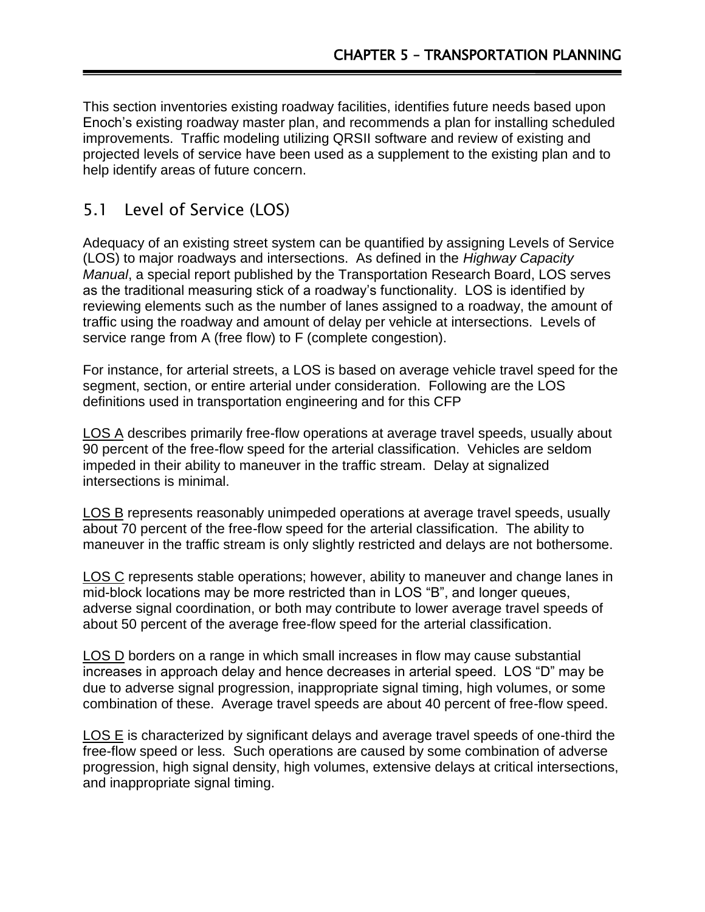This section inventories existing roadway facilities, identifies future needs based upon Enoch's existing roadway master plan, and recommends a plan for installing scheduled improvements. Traffic modeling utilizing QRSII software and review of existing and projected levels of service have been used as a supplement to the existing plan and to help identify areas of future concern.

### 5.1 Level of Service (LOS)

Adequacy of an existing street system can be quantified by assigning Levels of Service (LOS) to major roadways and intersections. As defined in the *Highway Capacity Manual*, a special report published by the Transportation Research Board, LOS serves as the traditional measuring stick of a roadway's functionality. LOS is identified by reviewing elements such as the number of lanes assigned to a roadway, the amount of traffic using the roadway and amount of delay per vehicle at intersections. Levels of service range from A (free flow) to F (complete congestion).

For instance, for arterial streets, a LOS is based on average vehicle travel speed for the segment, section, or entire arterial under consideration. Following are the LOS definitions used in transportation engineering and for this CFP

LOS A describes primarily free-flow operations at average travel speeds, usually about 90 percent of the free-flow speed for the arterial classification. Vehicles are seldom impeded in their ability to maneuver in the traffic stream. Delay at signalized intersections is minimal.

LOS B represents reasonably unimpeded operations at average travel speeds, usually about 70 percent of the free-flow speed for the arterial classification. The ability to maneuver in the traffic stream is only slightly restricted and delays are not bothersome.

LOS C represents stable operations; however, ability to maneuver and change lanes in mid-block locations may be more restricted than in LOS "B", and longer queues, adverse signal coordination, or both may contribute to lower average travel speeds of about 50 percent of the average free-flow speed for the arterial classification.

LOS D borders on a range in which small increases in flow may cause substantial increases in approach delay and hence decreases in arterial speed. LOS "D" may be due to adverse signal progression, inappropriate signal timing, high volumes, or some combination of these. Average travel speeds are about 40 percent of free-flow speed.

LOS E is characterized by significant delays and average travel speeds of one-third the free-flow speed or less. Such operations are caused by some combination of adverse progression, high signal density, high volumes, extensive delays at critical intersections, and inappropriate signal timing.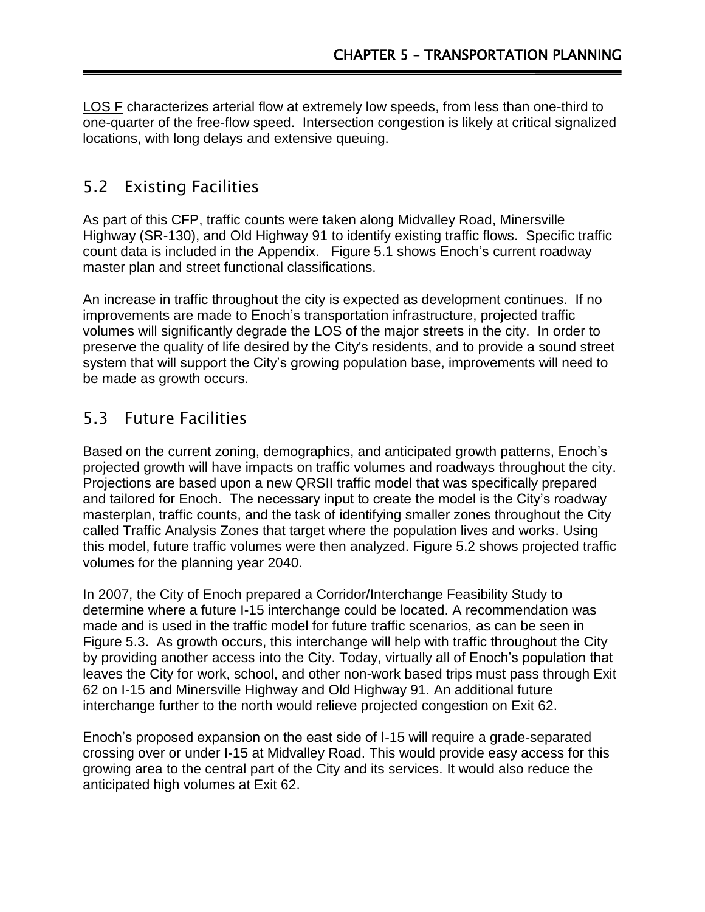LOS F characterizes arterial flow at extremely low speeds, from less than one-third to one-quarter of the free-flow speed. Intersection congestion is likely at critical signalized locations, with long delays and extensive queuing.

## 5.2 Existing Facilities

As part of this CFP, traffic counts were taken along Midvalley Road, Minersville Highway (SR-130), and Old Highway 91 to identify existing traffic flows. Specific traffic count data is included in the Appendix. Figure 5.1 shows Enoch's current roadway master plan and street functional classifications.

An increase in traffic throughout the city is expected as development continues. If no improvements are made to Enoch's transportation infrastructure, projected traffic volumes will significantly degrade the LOS of the major streets in the city. In order to preserve the quality of life desired by the City's residents, and to provide a sound street system that will support the City's growing population base, improvements will need to be made as growth occurs.

# 5.3 Future Facilities

Based on the current zoning, demographics, and anticipated growth patterns, Enoch's projected growth will have impacts on traffic volumes and roadways throughout the city. Projections are based upon a new QRSII traffic model that was specifically prepared and tailored for Enoch. The necessary input to create the model is the City's roadway masterplan, traffic counts, and the task of identifying smaller zones throughout the City called Traffic Analysis Zones that target where the population lives and works. Using this model, future traffic volumes were then analyzed. Figure 5.2 shows projected traffic volumes for the planning year 2040.

In 2007, the City of Enoch prepared a Corridor/Interchange Feasibility Study to determine where a future I-15 interchange could be located. A recommendation was made and is used in the traffic model for future traffic scenarios, as can be seen in Figure 5.3. As growth occurs, this interchange will help with traffic throughout the City by providing another access into the City. Today, virtually all of Enoch's population that leaves the City for work, school, and other non-work based trips must pass through Exit 62 on I-15 and Minersville Highway and Old Highway 91. An additional future interchange further to the north would relieve projected congestion on Exit 62.

Enoch's proposed expansion on the east side of I-15 will require a grade-separated crossing over or under I-15 at Midvalley Road. This would provide easy access for this growing area to the central part of the City and its services. It would also reduce the anticipated high volumes at Exit 62.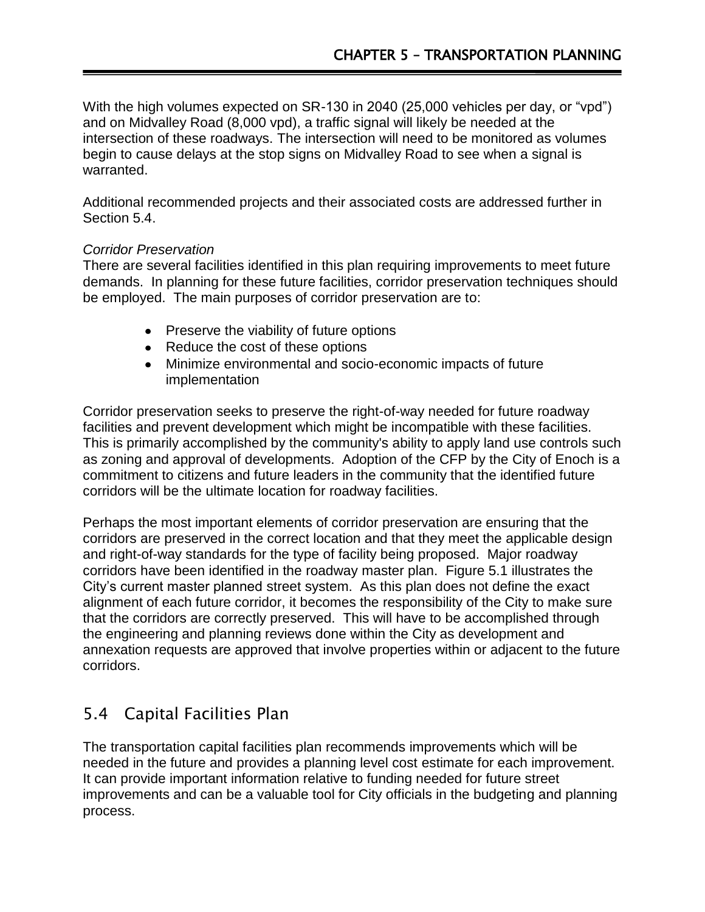With the high volumes expected on SR-130 in 2040 (25,000 vehicles per day, or "vpd") and on Midvalley Road (8,000 vpd), a traffic signal will likely be needed at the intersection of these roadways. The intersection will need to be monitored as volumes begin to cause delays at the stop signs on Midvalley Road to see when a signal is warranted.

Additional recommended projects and their associated costs are addressed further in Section 5.4.

#### *Corridor Preservation*

There are several facilities identified in this plan requiring improvements to meet future demands. In planning for these future facilities, corridor preservation techniques should be employed. The main purposes of corridor preservation are to:

- Preserve the viability of future options
- Reduce the cost of these options
- Minimize environmental and socio-economic impacts of future implementation

Corridor preservation seeks to preserve the right-of-way needed for future roadway facilities and prevent development which might be incompatible with these facilities. This is primarily accomplished by the community's ability to apply land use controls such as zoning and approval of developments. Adoption of the CFP by the City of Enoch is a commitment to citizens and future leaders in the community that the identified future corridors will be the ultimate location for roadway facilities.

Perhaps the most important elements of corridor preservation are ensuring that the corridors are preserved in the correct location and that they meet the applicable design and right-of-way standards for the type of facility being proposed. Major roadway corridors have been identified in the roadway master plan. Figure 5.1 illustrates the City's current master planned street system. As this plan does not define the exact alignment of each future corridor, it becomes the responsibility of the City to make sure that the corridors are correctly preserved. This will have to be accomplished through the engineering and planning reviews done within the City as development and annexation requests are approved that involve properties within or adjacent to the future corridors.

# 5.4 Capital Facilities Plan

The transportation capital facilities plan recommends improvements which will be needed in the future and provides a planning level cost estimate for each improvement. It can provide important information relative to funding needed for future street improvements and can be a valuable tool for City officials in the budgeting and planning process.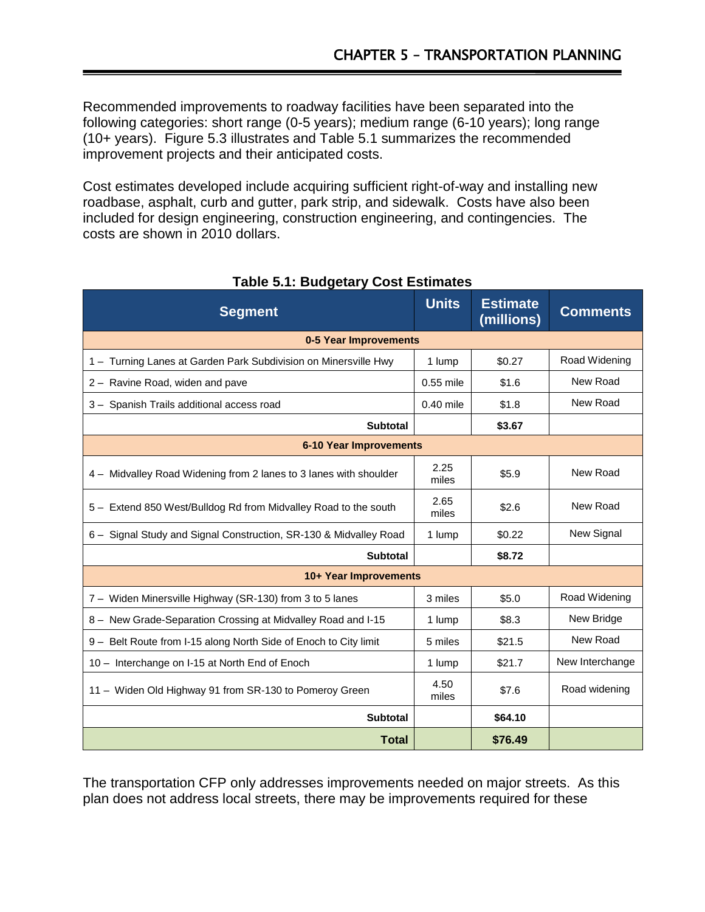Recommended improvements to roadway facilities have been separated into the following categories: short range (0-5 years); medium range (6-10 years); long range (10+ years). Figure 5.3 illustrates and Table 5.1 summarizes the recommended improvement projects and their anticipated costs.

Cost estimates developed include acquiring sufficient right-of-way and installing new roadbase, asphalt, curb and gutter, park strip, and sidewalk. Costs have also been included for design engineering, construction engineering, and contingencies. The costs are shown in 2010 dollars.

| <b>Segment</b>                                                    | <b>Units</b>  | <b>Estimate</b><br>(millions) | <b>Comments</b> |
|-------------------------------------------------------------------|---------------|-------------------------------|-----------------|
| 0-5 Year Improvements                                             |               |                               |                 |
| 1 - Turning Lanes at Garden Park Subdivision on Minersville Hwy   | 1 lump        | \$0.27                        | Road Widening   |
| 2 - Ravine Road, widen and pave                                   | 0.55 mile     | \$1.6                         | New Road        |
| 3 - Spanish Trails additional access road                         | $0.40$ mile   | \$1.8                         | New Road        |
| <b>Subtotal</b>                                                   |               | \$3.67                        |                 |
| <b>6-10 Year Improvements</b>                                     |               |                               |                 |
| 4 – Midvalley Road Widening from 2 lanes to 3 lanes with shoulder | 2.25<br>miles | \$5.9                         | New Road        |
| 5 - Extend 850 West/Bulldog Rd from Midvalley Road to the south   | 2.65<br>miles | \$2.6                         | New Road        |
| 6 - Signal Study and Signal Construction, SR-130 & Midvalley Road | 1 lump        | \$0.22                        | New Signal      |
| <b>Subtotal</b>                                                   |               | \$8.72                        |                 |
| 10+ Year Improvements                                             |               |                               |                 |
| 7 - Widen Minersville Highway (SR-130) from 3 to 5 lanes          | 3 miles       | \$5.0                         | Road Widening   |
| 8 - New Grade-Separation Crossing at Midvalley Road and I-15      | 1 lump        | \$8.3                         | New Bridge      |
| 9 - Belt Route from I-15 along North Side of Enoch to City limit  | 5 miles       | \$21.5                        | New Road        |
| 10 - Interchange on I-15 at North End of Enoch                    | 1 lump        | \$21.7                        | New Interchange |
| 11 - Widen Old Highway 91 from SR-130 to Pomeroy Green            | 4.50<br>miles | \$7.6                         | Road widening   |
| <b>Subtotal</b>                                                   |               | \$64.10                       |                 |
| <b>Total</b>                                                      |               | \$76.49                       |                 |

### **Table 5.1: Budgetary Cost Estimates**

The transportation CFP only addresses improvements needed on major streets. As this plan does not address local streets, there may be improvements required for these